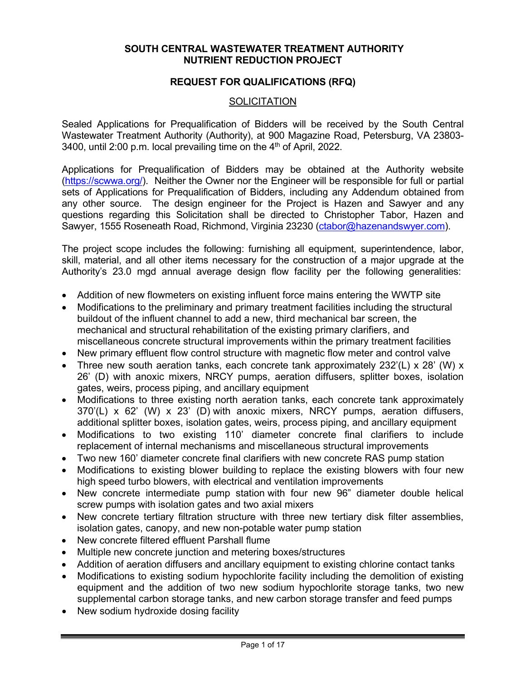### **SOUTH CENTRAL WASTEWATER TREATMENT AUTHORITY NUTRIENT REDUCTION PROJECT**

### **REQUEST FOR QUALIFICATIONS (RFQ)**

### **SOLICITATION**

Sealed Applications for Prequalification of Bidders will be received by the South Central Wastewater Treatment Authority (Authority), at 900 Magazine Road, Petersburg, VA 23803- 3400, until 2:00 p.m. local prevailing time on the  $4<sup>th</sup>$  of April, 2022.

Applications for Prequalification of Bidders may be obtained at the Authority website [\(https://scwwa.org/\)](https://scwwa.org/). Neither the Owner nor the Engineer will be responsible for full or partial sets of Applications for Prequalification of Bidders, including any Addendum obtained from any other source. The design engineer for the Project is Hazen and Sawyer and any questions regarding this Solicitation shall be directed to Christopher Tabor, Hazen and Sawyer, 1555 Roseneath Road, Richmond, Virginia 23230 [\(ctabor@hazenandswyer.com\)](mailto:ctabor@hazenandswyer.com).

The project scope includes the following: furnishing all equipment, superintendence, labor, skill, material, and all other items necessary for the construction of a major upgrade at the Authority's 23.0 mgd annual average design flow facility per the following generalities:

- Addition of new flowmeters on existing influent force mains entering the WWTP site
- Modifications to the preliminary and primary treatment facilities including the structural buildout of the influent channel to add a new, third mechanical bar screen, the mechanical and structural rehabilitation of the existing primary clarifiers, and miscellaneous concrete structural improvements within the primary treatment facilities
- New primary effluent flow control structure with magnetic flow meter and control valve
- Three new south aeration tanks, each concrete tank approximately  $232'(L) \times 28'$  (W) x 26' (D) with anoxic mixers, NRCY pumps, aeration diffusers, splitter boxes, isolation gates, weirs, process piping, and ancillary equipment
- Modifications to three existing north aeration tanks, each concrete tank approximately 370'(L) x 62' (W) x 23' (D) with anoxic mixers, NRCY pumps, aeration diffusers, additional splitter boxes, isolation gates, weirs, process piping, and ancillary equipment
- Modifications to two existing 110' diameter concrete final clarifiers to include replacement of internal mechanisms and miscellaneous structural improvements
- Two new 160' diameter concrete final clarifiers with new concrete RAS pump station
- Modifications to existing blower building to replace the existing blowers with four new high speed turbo blowers, with electrical and ventilation improvements
- New concrete intermediate pump station with four new 96" diameter double helical screw pumps with isolation gates and two axial mixers
- New concrete tertiary filtration structure with three new tertiary disk filter assemblies, isolation gates, canopy, and new non-potable water pump station
- New concrete filtered effluent Parshall flume
- Multiple new concrete junction and metering boxes/structures
- Addition of aeration diffusers and ancillary equipment to existing chlorine contact tanks
- Modifications to existing sodium hypochlorite facility including the demolition of existing equipment and the addition of two new sodium hypochlorite storage tanks, two new supplemental carbon storage tanks, and new carbon storage transfer and feed pumps
- New sodium hydroxide dosing facility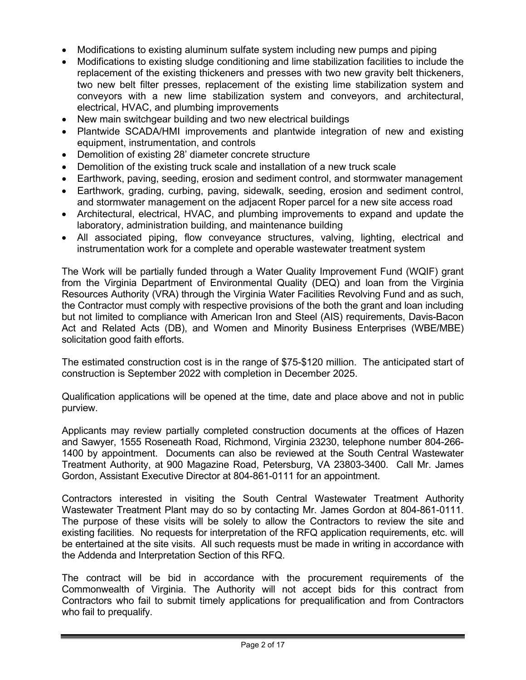- Modifications to existing aluminum sulfate system including new pumps and piping
- Modifications to existing sludge conditioning and lime stabilization facilities to include the replacement of the existing thickeners and presses with two new gravity belt thickeners, two new belt filter presses, replacement of the existing lime stabilization system and conveyors with a new lime stabilization system and conveyors, and architectural, electrical, HVAC, and plumbing improvements
- New main switchgear building and two new electrical buildings
- Plantwide SCADA/HMI improvements and plantwide integration of new and existing equipment, instrumentation, and controls
- Demolition of existing 28' diameter concrete structure
- Demolition of the existing truck scale and installation of a new truck scale
- Earthwork, paving, seeding, erosion and sediment control, and stormwater management
- Earthwork, grading, curbing, paving, sidewalk, seeding, erosion and sediment control, and stormwater management on the adjacent Roper parcel for a new site access road
- Architectural, electrical, HVAC, and plumbing improvements to expand and update the laboratory, administration building, and maintenance building
- All associated piping, flow conveyance structures, valving, lighting, electrical and instrumentation work for a complete and operable wastewater treatment system

The Work will be partially funded through a Water Quality Improvement Fund (WQIF) grant from the Virginia Department of Environmental Quality (DEQ) and loan from the Virginia Resources Authority (VRA) through the Virginia Water Facilities Revolving Fund and as such, the Contractor must comply with respective provisions of the both the grant and loan including but not limited to compliance with American Iron and Steel (AIS) requirements, Davis-Bacon Act and Related Acts (DB), and Women and Minority Business Enterprises (WBE/MBE) solicitation good faith efforts.

The estimated construction cost is in the range of \$75-\$120 million. The anticipated start of construction is September 2022 with completion in December 2025.

Qualification applications will be opened at the time, date and place above and not in public purview.

Applicants may review partially completed construction documents at the offices of Hazen and Sawyer, 1555 Roseneath Road, Richmond, Virginia 23230, telephone number 804-266- 1400 by appointment. Documents can also be reviewed at the South Central Wastewater Treatment Authority, at 900 Magazine Road, Petersburg, VA 23803-3400. Call Mr. James Gordon, Assistant Executive Director at 804-861-0111 for an appointment.

Contractors interested in visiting the South Central Wastewater Treatment Authority Wastewater Treatment Plant may do so by contacting Mr. James Gordon at 804-861-0111. The purpose of these visits will be solely to allow the Contractors to review the site and existing facilities. No requests for interpretation of the RFQ application requirements, etc. will be entertained at the site visits. All such requests must be made in writing in accordance with the Addenda and Interpretation Section of this RFQ.

The contract will be bid in accordance with the procurement requirements of the Commonwealth of Virginia. The Authority will not accept bids for this contract from Contractors who fail to submit timely applications for prequalification and from Contractors who fail to prequalify.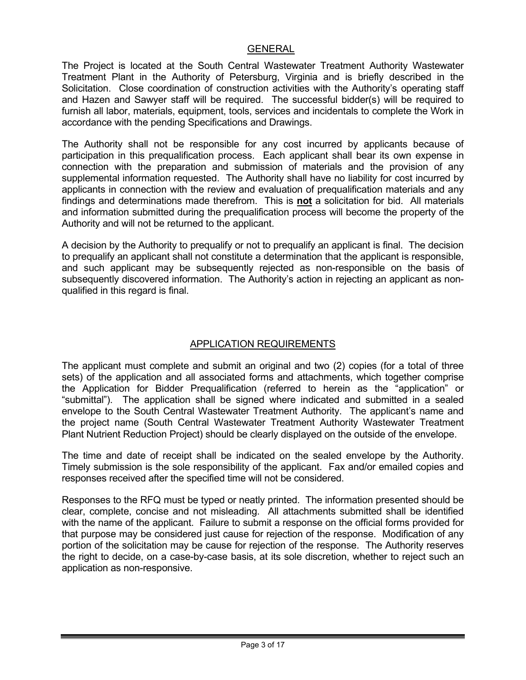### GENERAL

The Project is located at the South Central Wastewater Treatment Authority Wastewater Treatment Plant in the Authority of Petersburg, Virginia and is briefly described in the Solicitation. Close coordination of construction activities with the Authority's operating staff and Hazen and Sawyer staff will be required. The successful bidder(s) will be required to furnish all labor, materials, equipment, tools, services and incidentals to complete the Work in accordance with the pending Specifications and Drawings.

The Authority shall not be responsible for any cost incurred by applicants because of participation in this prequalification process. Each applicant shall bear its own expense in connection with the preparation and submission of materials and the provision of any supplemental information requested. The Authority shall have no liability for cost incurred by applicants in connection with the review and evaluation of prequalification materials and any findings and determinations made therefrom. This is **not** a solicitation for bid. All materials and information submitted during the prequalification process will become the property of the Authority and will not be returned to the applicant.

A decision by the Authority to prequalify or not to prequalify an applicant is final. The decision to prequalify an applicant shall not constitute a determination that the applicant is responsible, and such applicant may be subsequently rejected as non-responsible on the basis of subsequently discovered information. The Authority's action in rejecting an applicant as nonqualified in this regard is final.

## APPLICATION REQUIREMENTS

The applicant must complete and submit an original and two (2) copies (for a total of three sets) of the application and all associated forms and attachments, which together comprise the Application for Bidder Prequalification (referred to herein as the "application" or "submittal"). The application shall be signed where indicated and submitted in a sealed envelope to the South Central Wastewater Treatment Authority. The applicant's name and the project name (South Central Wastewater Treatment Authority Wastewater Treatment Plant Nutrient Reduction Project) should be clearly displayed on the outside of the envelope.

The time and date of receipt shall be indicated on the sealed envelope by the Authority. Timely submission is the sole responsibility of the applicant. Fax and/or emailed copies and responses received after the specified time will not be considered.

Responses to the RFQ must be typed or neatly printed. The information presented should be clear, complete, concise and not misleading. All attachments submitted shall be identified with the name of the applicant. Failure to submit a response on the official forms provided for that purpose may be considered just cause for rejection of the response. Modification of any portion of the solicitation may be cause for rejection of the response. The Authority reserves the right to decide, on a case-by-case basis, at its sole discretion, whether to reject such an application as non-responsive.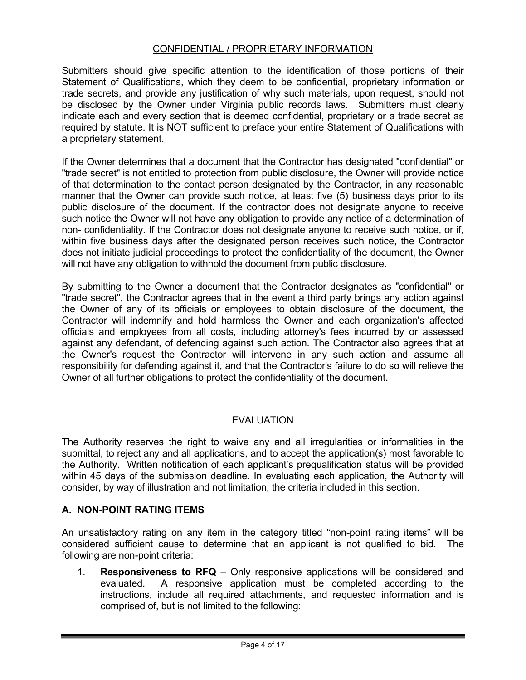# CONFIDENTIAL / PROPRIETARY INFORMATION

Submitters should give specific attention to the identification of those portions of their Statement of Qualifications, which they deem to be confidential, proprietary information or trade secrets, and provide any justification of why such materials, upon request, should not be disclosed by the Owner under Virginia public records laws. Submitters must clearly indicate each and every section that is deemed confidential, proprietary or a trade secret as required by statute. It is NOT sufficient to preface your entire Statement of Qualifications with a proprietary statement.

If the Owner determines that a document that the Contractor has designated "confidential" or "trade secret" is not entitled to protection from public disclosure, the Owner will provide notice of that determination to the contact person designated by the Contractor, in any reasonable manner that the Owner can provide such notice, at least five (5) business days prior to its public disclosure of the document. If the contractor does not designate anyone to receive such notice the Owner will not have any obligation to provide any notice of a determination of non- confidentiality. If the Contractor does not designate anyone to receive such notice, or if, within five business days after the designated person receives such notice, the Contractor does not initiate judicial proceedings to protect the confidentiality of the document, the Owner will not have any obligation to withhold the document from public disclosure.

By submitting to the Owner a document that the Contractor designates as "confidential" or "trade secret", the Contractor agrees that in the event a third party brings any action against the Owner of any of its officials or employees to obtain disclosure of the document, the Contractor will indemnify and hold harmless the Owner and each organization's affected officials and employees from all costs, including attorney's fees incurred by or assessed against any defendant, of defending against such action. The Contractor also agrees that at the Owner's request the Contractor will intervene in any such action and assume all responsibility for defending against it, and that the Contractor's failure to do so will relieve the Owner of all further obligations to protect the confidentiality of the document.

## EVALUATION

The Authority reserves the right to waive any and all irregularities or informalities in the submittal, to reject any and all applications, and to accept the application(s) most favorable to the Authority. Written notification of each applicant's prequalification status will be provided within 45 days of the submission deadline. In evaluating each application, the Authority will consider, by way of illustration and not limitation, the criteria included in this section.

## **A. NON-POINT RATING ITEMS**

An unsatisfactory rating on any item in the category titled "non-point rating items" will be considered sufficient cause to determine that an applicant is not qualified to bid. The following are non-point criteria:

1. **Responsiveness to RFQ** – Only responsive applications will be considered and evaluated. A responsive application must be completed according to the instructions, include all required attachments, and requested information and is comprised of, but is not limited to the following: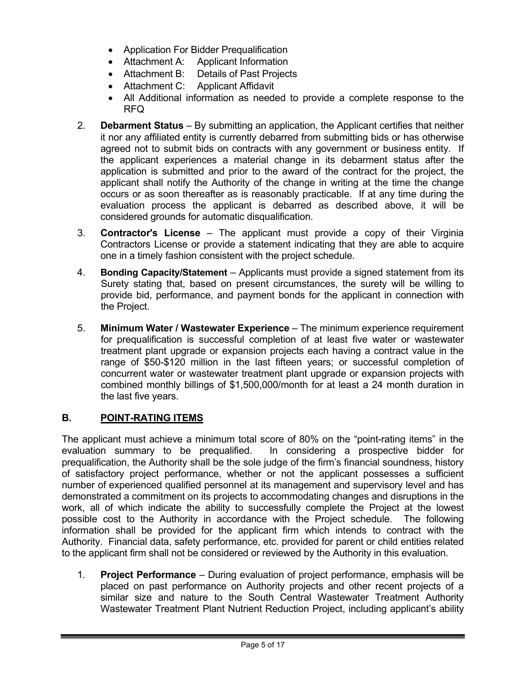- Application For Bidder Prequalification
- Attachment A: Applicant Information
- Attachment B: Details of Past Projects
- Attachment C: Applicant Affidavit
- All Additional information as needed to provide a complete response to the RFQ
- 2. **Debarment Status**  By submitting an application, the Applicant certifies that neither it nor any affiliated entity is currently debarred from submitting bids or has otherwise agreed not to submit bids on contracts with any government or business entity. If the applicant experiences a material change in its debarment status after the application is submitted and prior to the award of the contract for the project, the applicant shall notify the Authority of the change in writing at the time the change occurs or as soon thereafter as is reasonably practicable. If at any time during the evaluation process the applicant is debarred as described above, it will be considered grounds for automatic disqualification.
- 3. **Contractor's License** The applicant must provide a copy of their Virginia Contractors License or provide a statement indicating that they are able to acquire one in a timely fashion consistent with the project schedule.
- 4. **Bonding Capacity/Statement** Applicants must provide a signed statement from its Surety stating that, based on present circumstances, the surety will be willing to provide bid, performance, and payment bonds for the applicant in connection with the Project.
- 5. **Minimum Water / Wastewater Experience** The minimum experience requirement for prequalification is successful completion of at least five water or wastewater treatment plant upgrade or expansion projects each having a contract value in the range of \$50-\$120 million in the last fifteen years; or successful completion of concurrent water or wastewater treatment plant upgrade or expansion projects with combined monthly billings of \$1,500,000/month for at least a 24 month duration in the last five years.

# **B. POINT-RATING ITEMS**

The applicant must achieve a minimum total score of 80% on the "point-rating items" in the evaluation summary to be prequalified. In considering a prospective bidder for prequalification, the Authority shall be the sole judge of the firm's financial soundness, history of satisfactory project performance, whether or not the applicant possesses a sufficient number of experienced qualified personnel at its management and supervisory level and has demonstrated a commitment on its projects to accommodating changes and disruptions in the work, all of which indicate the ability to successfully complete the Project at the lowest possible cost to the Authority in accordance with the Project schedule. The following information shall be provided for the applicant firm which intends to contract with the Authority. Financial data, safety performance, etc. provided for parent or child entities related to the applicant firm shall not be considered or reviewed by the Authority in this evaluation.

1. **Project Performance** – During evaluation of project performance, emphasis will be placed on past performance on Authority projects and other recent projects of a similar size and nature to the South Central Wastewater Treatment Authority Wastewater Treatment Plant Nutrient Reduction Project, including applicant's ability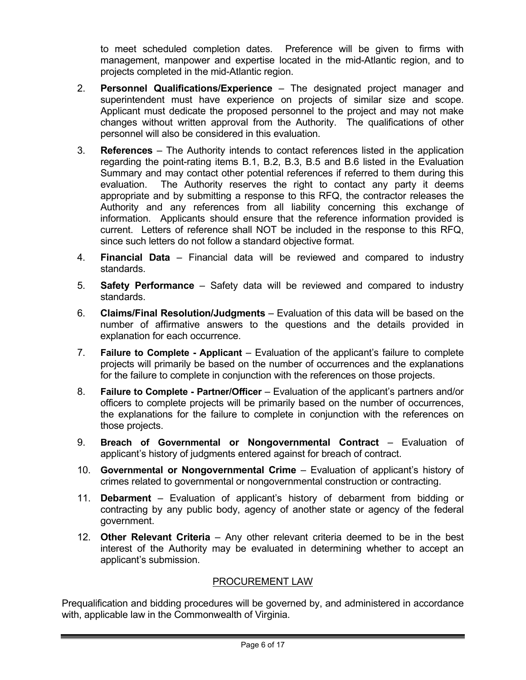to meet scheduled completion dates. Preference will be given to firms with management, manpower and expertise located in the mid-Atlantic region, and to projects completed in the mid-Atlantic region.

- 2. **Personnel Qualifications/Experience** The designated project manager and superintendent must have experience on projects of similar size and scope. Applicant must dedicate the proposed personnel to the project and may not make changes without written approval from the Authority. The qualifications of other personnel will also be considered in this evaluation.
- 3. **References** The Authority intends to contact references listed in the application regarding the point-rating items B.1, B.2, B.3, B.5 and B.6 listed in the Evaluation Summary and may contact other potential references if referred to them during this evaluation. The Authority reserves the right to contact any party it deems appropriate and by submitting a response to this RFQ, the contractor releases the Authority and any references from all liability concerning this exchange of information. Applicants should ensure that the reference information provided is current. Letters of reference shall NOT be included in the response to this RFQ, since such letters do not follow a standard objective format.
- 4. **Financial Data** Financial data will be reviewed and compared to industry standards.
- 5. **Safety Performance** Safety data will be reviewed and compared to industry standards.
- 6. **Claims/Final Resolution/Judgments** Evaluation of this data will be based on the number of affirmative answers to the questions and the details provided in explanation for each occurrence.
- 7. **Failure to Complete - Applicant** Evaluation of the applicant's failure to complete projects will primarily be based on the number of occurrences and the explanations for the failure to complete in conjunction with the references on those projects.
- 8. **Failure to Complete - Partner/Officer** Evaluation of the applicant's partners and/or officers to complete projects will be primarily based on the number of occurrences, the explanations for the failure to complete in conjunction with the references on those projects.
- 9. **Breach of Governmental or Nongovernmental Contract** Evaluation of applicant's history of judgments entered against for breach of contract.
- 10. **Governmental or Nongovernmental Crime** Evaluation of applicant's history of crimes related to governmental or nongovernmental construction or contracting.
- 11. **Debarment** Evaluation of applicant's history of debarment from bidding or contracting by any public body, agency of another state or agency of the federal government.
- 12. **Other Relevant Criteria** Any other relevant criteria deemed to be in the best interest of the Authority may be evaluated in determining whether to accept an applicant's submission.

# PROCUREMENT LAW

Prequalification and bidding procedures will be governed by, and administered in accordance with, applicable law in the Commonwealth of Virginia.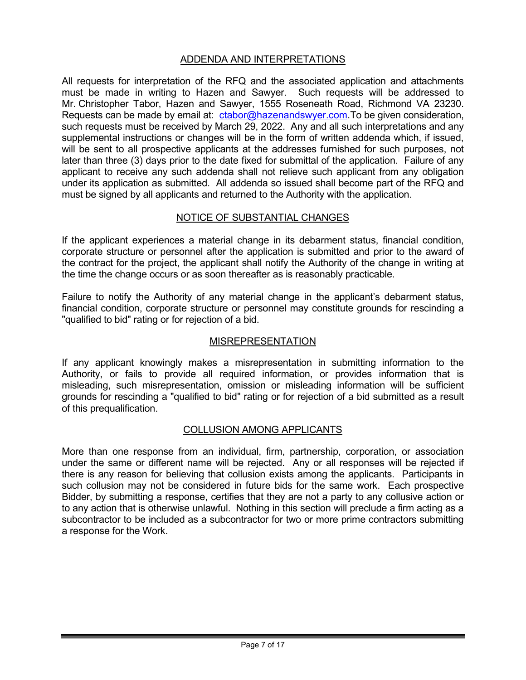# ADDENDA AND INTERPRETATIONS

All requests for interpretation of the RFQ and the associated application and attachments must be made in writing to Hazen and Sawyer. Such requests will be addressed to Mr. Christopher Tabor, Hazen and Sawyer, 1555 Roseneath Road, Richmond VA 23230. Requests can be made by email at: [ctabor@hazenandswyer.com.](mailto:ctabor@hazenandswyer.com) To be given consideration, such requests must be received by March 29, 2022. Any and all such interpretations and any supplemental instructions or changes will be in the form of written addenda which, if issued, will be sent to all prospective applicants at the addresses furnished for such purposes, not later than three (3) days prior to the date fixed for submittal of the application. Failure of any applicant to receive any such addenda shall not relieve such applicant from any obligation under its application as submitted. All addenda so issued shall become part of the RFQ and must be signed by all applicants and returned to the Authority with the application.

## NOTICE OF SUBSTANTIAL CHANGES

If the applicant experiences a material change in its debarment status, financial condition, corporate structure or personnel after the application is submitted and prior to the award of the contract for the project, the applicant shall notify the Authority of the change in writing at the time the change occurs or as soon thereafter as is reasonably practicable.

Failure to notify the Authority of any material change in the applicant's debarment status, financial condition, corporate structure or personnel may constitute grounds for rescinding a "qualified to bid" rating or for rejection of a bid.

### MISREPRESENTATION

If any applicant knowingly makes a misrepresentation in submitting information to the Authority, or fails to provide all required information, or provides information that is misleading, such misrepresentation, omission or misleading information will be sufficient grounds for rescinding a "qualified to bid" rating or for rejection of a bid submitted as a result of this prequalification.

### COLLUSION AMONG APPLICANTS

More than one response from an individual, firm, partnership, corporation, or association under the same or different name will be rejected. Any or all responses will be rejected if there is any reason for believing that collusion exists among the applicants. Participants in such collusion may not be considered in future bids for the same work. Each prospective Bidder, by submitting a response, certifies that they are not a party to any collusive action or to any action that is otherwise unlawful. Nothing in this section will preclude a firm acting as a subcontractor to be included as a subcontractor for two or more prime contractors submitting a response for the Work.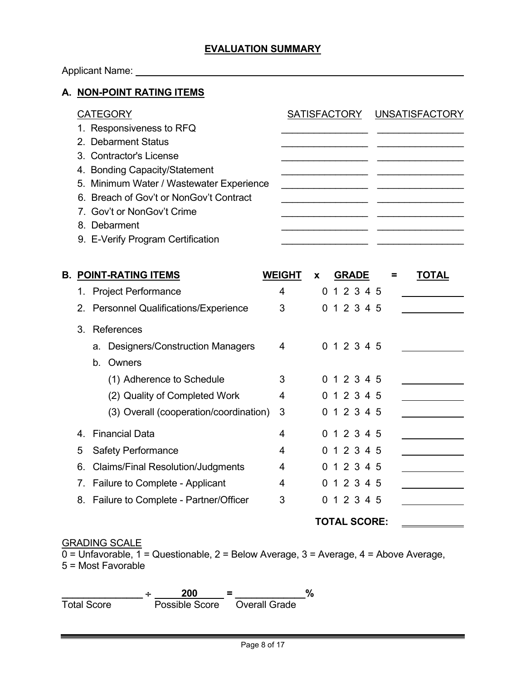## **EVALUATION SUMMARY**

# Applicant Name: \_\_\_\_\_\_\_\_\_

## **A. NON-POINT RATING ITEMS**

| CATEGORY                                 | SATISFACTORY UNSATISFACTORY |
|------------------------------------------|-----------------------------|
| 1. Responsiveness to RFQ                 |                             |
| 2. Debarment Status                      |                             |
| 3. Contractor's License                  |                             |
| 4. Bonding Capacity/Statement            |                             |
| 5. Minimum Water / Wastewater Experience |                             |
| 6. Breach of Gov't or NonGov't Contract  |                             |
| 7. Gov't or NonGov't Crime               |                             |
| 8. Debarment                             |                             |
| 9. E-Verify Program Certification        |                             |
|                                          |                             |

| В. |    | <b>POINT-RATING ITEMS</b>                | <b>WEIGHT</b> | X | <b>GRADE</b> | TOTAI |
|----|----|------------------------------------------|---------------|---|--------------|-------|
|    |    | 1. Project Performance                   | 4             | 0 | 1 2 3 4 5    |       |
|    |    | 2. Personnel Qualifications/Experience   | 3             | 0 | 1 2 3 4 5    |       |
|    | 3  | References                               |               |   |              |       |
|    |    | a. Designers/Construction Managers       | 4             |   | 0 1 2 3 4 5  |       |
|    |    | Owners<br>b.                             |               |   |              |       |
|    |    | (1) Adherence to Schedule                | 3             |   | 0 1 2 3 4 5  |       |
|    |    | (2) Quality of Completed Work            | 4             |   | 0 1 2 3 4 5  |       |
|    |    | (3) Overall (cooperation/coordination)   | 3             |   | 0 1 2 3 4 5  |       |
|    | 4  | <b>Financial Data</b>                    | 4             |   | 0 1 2 3 4 5  |       |
|    | 5  | <b>Safety Performance</b>                | 4             | 0 | 1 2 3 4 5    |       |
|    | 6. | <b>Claims/Final Resolution/Judgments</b> | 4             |   | 0 1 2 3 4 5  |       |
|    |    | 7. Failure to Complete - Applicant       | 4             |   | 1 2 3 4 5    |       |
|    |    | 8. Failure to Complete - Partner/Officer | 3             | 0 | 1 2 3 4 5    |       |
|    |    |                                          |               |   |              |       |

## **TOTAL SCORE:**

#### GRADING SCALE

 $\overline{0}$  = Unfavorable, 1 = Questionable, 2 = Below Average, 3 = Average, 4 = Above Average, 5 = Most Favorable

**\_\_\_\_\_\_\_\_\_\_\_\_\_\_\_** ÷ **200 = \_\_\_\_\_\_\_\_\_\_\_\_\_%** Total Score Possible Score Overall Grade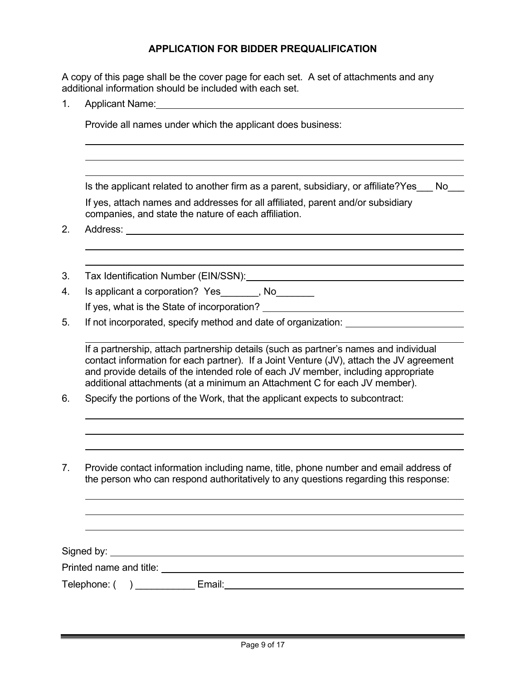# **APPLICATION FOR BIDDER PREQUALIFICATION**

A copy of this page shall be the cover page for each set. A set of attachments and any additional information should be included with each set.

1. Applicant Name:

Provide all names under which the applicant does business:

Is the applicant related to another firm as a parent, subsidiary, or affiliate?Yes No

If yes, attach names and addresses for all affiliated, parent and/or subsidiary companies, and state the nature of each affiliation.

2. Address:

- 3. Tax Identification Number (EIN/SSN):
- 4. Is applicant a corporation? Yes \_\_\_\_\_\_, No\_\_\_\_\_\_\_
	- If yes, what is the State of incorporation?
- 5. If not incorporated, specify method and date of organization:

If a partnership, attach partnership details (such as partner's names and individual contact information for each partner). If a Joint Venture (JV), attach the JV agreement and provide details of the intended role of each JV member, including appropriate additional attachments (at a minimum an Attachment C for each JV member).

- 6. Specify the portions of the Work, that the applicant expects to subcontract:
- 7. Provide contact information including name, title, phone number and email address of the person who can respond authoritatively to any questions regarding this response:

Signed by: Printed name and title:

Telephone: ( ) \_\_\_\_\_\_\_\_\_\_\_ Email: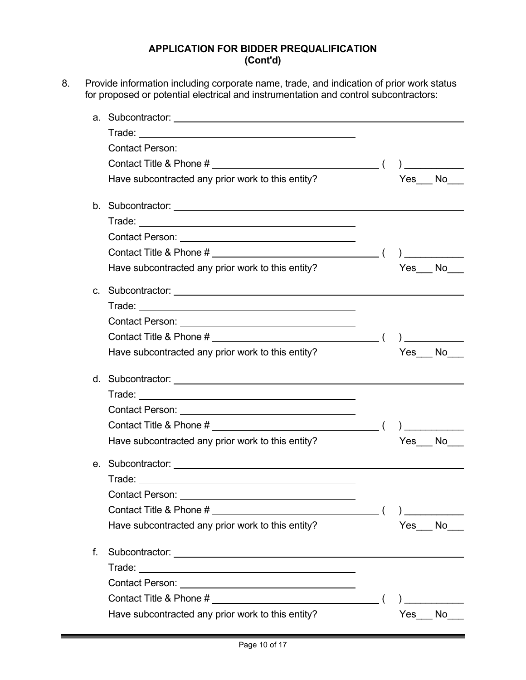## **APPLICATION FOR BIDDER PREQUALIFICATION (Cont'd)**

8. Provide information including corporate name, trade, and indication of prior work status for proposed or potential electrical and instrumentation and control subcontractors:

|    | Contact Person: University of the Contact Person:                                                              |        |                |
|----|----------------------------------------------------------------------------------------------------------------|--------|----------------|
|    |                                                                                                                |        | $\overline{a}$ |
|    | Have subcontracted any prior work to this entity?                                                              | Yes No |                |
|    |                                                                                                                |        |                |
|    |                                                                                                                |        |                |
|    |                                                                                                                |        |                |
|    |                                                                                                                |        |                |
|    | Have subcontracted any prior work to this entity?                                                              |        | Yes No         |
|    |                                                                                                                |        |                |
|    |                                                                                                                |        |                |
|    |                                                                                                                |        |                |
|    |                                                                                                                |        |                |
|    | Have subcontracted any prior work to this entity?                                                              | Yes No |                |
|    |                                                                                                                |        |                |
|    |                                                                                                                |        |                |
|    |                                                                                                                |        |                |
|    | Contact Title & Phone # (1)                                                                                    |        |                |
|    | Have subcontracted any prior work to this entity?                                                              | Yes No |                |
|    | e. Subcontractor: experience and the state of the state of the state of the state of the state of the state of |        |                |
|    |                                                                                                                |        |                |
|    | Contact Person:                                                                                                |        |                |
|    |                                                                                                                |        |                |
|    | Have subcontracted any prior work to this entity?                                                              | Yes    | No             |
| f. |                                                                                                                |        |                |
|    |                                                                                                                |        |                |
|    |                                                                                                                |        |                |
|    |                                                                                                                |        |                |
|    | Have subcontracted any prior work to this entity?                                                              |        | Yes No         |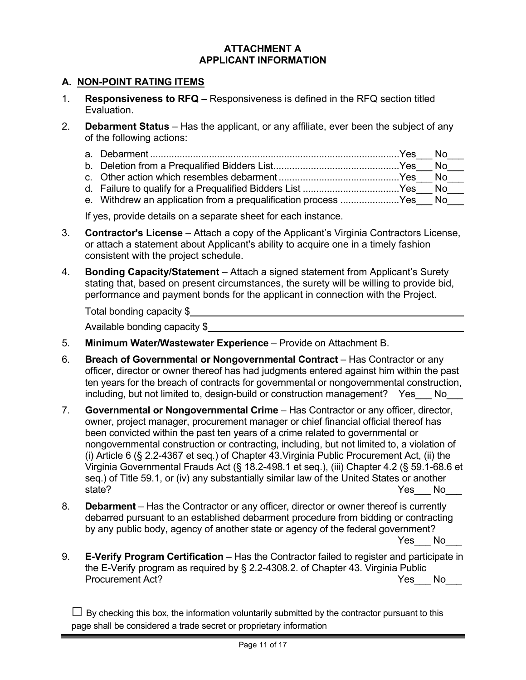### **ATTACHMENT A APPLICANT INFORMATION**

## **A. NON-POINT RATING ITEMS**

- 1. **Responsiveness to RFQ** Responsiveness is defined in the RFQ section titled Evaluation.
- 2. **Debarment Status** Has the applicant, or any affiliate, ever been the subject of any of the following actions:

| e. Withdrew an application from a prequalification process Yes No |  |
|-------------------------------------------------------------------|--|

If yes, provide details on a separate sheet for each instance.

- 3. **Contractor's License** Attach a copy of the Applicant's Virginia Contractors License, or attach a statement about Applicant's ability to acquire one in a timely fashion consistent with the project schedule.
- 4. **Bonding Capacity/Statement** Attach a signed statement from Applicant's Surety stating that, based on present circumstances, the surety will be willing to provide bid, performance and payment bonds for the applicant in connection with the Project.

| Total bonding capacity \$     |  |
|-------------------------------|--|
| Available bonding capacity \$ |  |

- 5. **Minimum Water/Wastewater Experience** Provide on Attachment B.
- 6. **Breach of Governmental or Nongovernmental Contract**  Has Contractor or any officer, director or owner thereof has had judgments entered against him within the past ten years for the breach of contracts for governmental or nongovernmental construction, including, but not limited to, design-build or construction management? Yes No
- 7. **Governmental or Nongovernmental Crime** Has Contractor or any officer, director, owner, project manager, procurement manager or chief financial official thereof has been convicted within the past ten years of a crime related to governmental or nongovernmental construction or contracting, including, but not limited to, a violation of (i) Article 6 (§ 2.2-4367 et seq.) of Chapter 43.Virginia Public Procurement Act, (ii) the Virginia Governmental Frauds Act (§ 18.2-498.1 et seq.), (iii) Chapter 4.2 (§ 59.1-68.6 et seq.) of Title 59.1, or (iv) any substantially similar law of the United States or another state? The No  $\sim$  No  $\sim$  No  $\sim$  No  $\sim$  No  $\sim$  No  $\sim$  No  $\sim$  No  $\sim$  No  $\sim$  No  $\sim$  No  $\sim$  No  $\sim$  No  $\sim$  No  $\sim$  No  $\sim$  No  $\sim$  No  $\sim$  No  $\sim$  No  $\sim$  No  $\sim$  No  $\sim$  No  $\sim$  No  $\sim$  No  $\sim$  No  $\sim$  No  $\sim$  No
- 8. **Debarment** Has the Contractor or any officer, director or owner thereof is currently debarred pursuant to an established debarment procedure from bidding or contracting by any public body, agency of another state or agency of the federal government?

Yes No

9. **E-Verify Program Certification** – Has the Contractor failed to register and participate in the E-Verify program as required by § 2.2-4308.2. of Chapter 43. Virginia Public Procurement Act? The Contract of the Contract of the Contract of the Vesting of No

 $\Box$  By checking this box, the information voluntarily submitted by the contractor pursuant to this page shall be considered a trade secret or proprietary information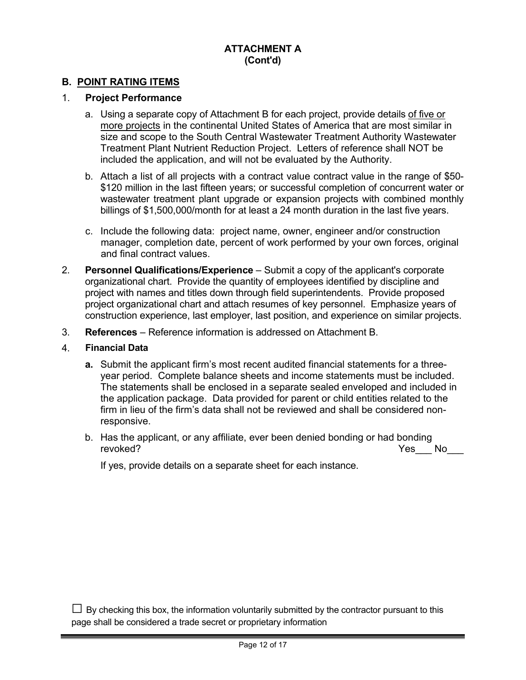# **ATTACHMENT A (Cont'd)**

### **B. POINT RATING ITEMS**

### 1. **Project Performance**

- a. Using a separate copy of Attachment B for each project, provide details of five or more projects in the continental United States of America that are most similar in size and scope to the South Central Wastewater Treatment Authority Wastewater Treatment Plant Nutrient Reduction Project. Letters of reference shall NOT be included the application, and will not be evaluated by the Authority.
- b. Attach a list of all projects with a contract value contract value in the range of \$50- \$120 million in the last fifteen years; or successful completion of concurrent water or wastewater treatment plant upgrade or expansion projects with combined monthly billings of \$1,500,000/month for at least a 24 month duration in the last five years.
- c. Include the following data: project name, owner, engineer and/or construction manager, completion date, percent of work performed by your own forces, original and final contract values.
- 2. **Personnel Qualifications/Experience** Submit a copy of the applicant's corporate organizational chart. Provide the quantity of employees identified by discipline and project with names and titles down through field superintendents. Provide proposed project organizational chart and attach resumes of key personnel. Emphasize years of construction experience, last employer, last position, and experience on similar projects.
- 3. **References** Reference information is addressed on Attachment B.

#### 4. **Financial Data**

- **a.** Submit the applicant firm's most recent audited financial statements for a threeyear period. Complete balance sheets and income statements must be included. The statements shall be enclosed in a separate sealed enveloped and included in the application package. Data provided for parent or child entities related to the firm in lieu of the firm's data shall not be reviewed and shall be considered nonresponsive.
- b. Has the applicant, or any affiliate, ever been denied bonding or had bonding revoked? Yes\_\_\_ No\_\_\_

If yes, provide details on a separate sheet for each instance.

 $\Box$  By checking this box, the information voluntarily submitted by the contractor pursuant to this page shall be considered a trade secret or proprietary information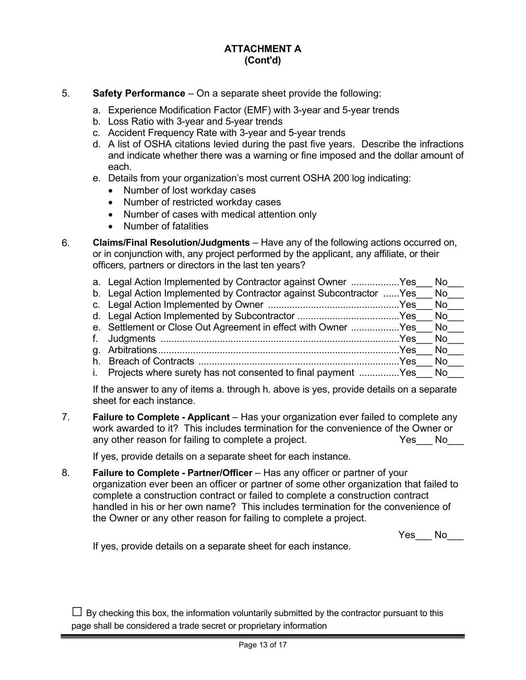# **ATTACHMENT A (Cont'd)**

### 5. **Safety Performance** – On a separate sheet provide the following:

- a. Experience Modification Factor (EMF) with 3-year and 5-year trends
	- b. Loss Ratio with 3-year and 5-year trends
	- c. Accident Frequency Rate with 3-year and 5-year trends
	- d. A list of OSHA citations levied during the past five years. Describe the infractions and indicate whether there was a warning or fine imposed and the dollar amount of each.
	- e. Details from your organization's most current OSHA 200 log indicating:
		- Number of lost workday cases
		- Number of restricted workday cases
		- Number of cases with medical attention only
		- Number of fatalities
- 6. **Claims/Final Resolution/Judgments** Have any of the following actions occurred on, or in conjunction with, any project performed by the applicant, any affiliate, or their officers, partners or directors in the last ten years?
	- a. Legal Action Implemented by Contractor against Owner ..................Yes No b. Legal Action Implemented by Contractor against Subcontractor ...... Yes No c. Legal Action Implemented by Owner .................................................Yes\_\_\_ No\_\_\_ d. Legal Action Implemented by Subcontractor ......................................Yes\_\_\_ No\_\_\_ e. Settlement or Close Out Agreement in effect with Owner ..................Yes No f. Judgments .........................................................................................Yes\_\_\_ No\_\_\_ g. Arbitrations..........................................................................................Yes\_\_\_ No\_\_\_ h. Breach of Contracts ...........................................................................Yes\_\_\_ No\_\_\_ i. Projects where surety has not consented to final payment ...............Yes No

If the answer to any of items a. through h. above is yes, provide details on a separate sheet for each instance.

7. **Failure to Complete - Applicant** – Has your organization ever failed to complete any work awarded to it? This includes termination for the convenience of the Owner or any other reason for failing to complete a project. The Seal of the Yes No

If yes, provide details on a separate sheet for each instance.

8. **Failure to Complete - Partner/Officer** – Has any officer or partner of your organization ever been an officer or partner of some other organization that failed to complete a construction contract or failed to complete a construction contract handled in his or her own name? This includes termination for the convenience of the Owner or any other reason for failing to complete a project.

 $Yes$  No $\_\_$ 

If yes, provide details on a separate sheet for each instance.

 $\Box$  By checking this box, the information voluntarily submitted by the contractor pursuant to this page shall be considered a trade secret or proprietary information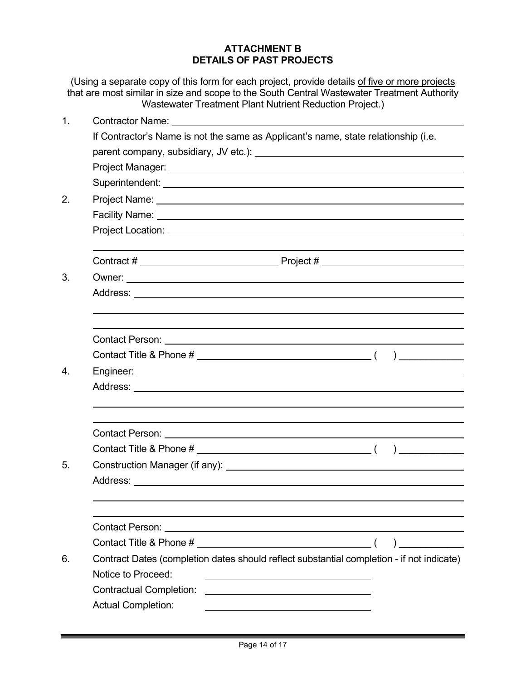## **ATTACHMENT B DETAILS OF PAST PROJECTS**

(Using a separate copy of this form for each project, provide details of five or more projects that are most similar in size and scope to the South Central Wastewater Treatment Authority Wastewater Treatment Plant Nutrient Reduction Project.)

| 1. |                                                                                                                                                         |  |  |  |
|----|---------------------------------------------------------------------------------------------------------------------------------------------------------|--|--|--|
|    | If Contractor's Name is not the same as Applicant's name, state relationship (i.e.                                                                      |  |  |  |
|    |                                                                                                                                                         |  |  |  |
|    |                                                                                                                                                         |  |  |  |
|    |                                                                                                                                                         |  |  |  |
| 2. |                                                                                                                                                         |  |  |  |
|    |                                                                                                                                                         |  |  |  |
|    |                                                                                                                                                         |  |  |  |
|    |                                                                                                                                                         |  |  |  |
| 3. |                                                                                                                                                         |  |  |  |
|    |                                                                                                                                                         |  |  |  |
|    |                                                                                                                                                         |  |  |  |
|    |                                                                                                                                                         |  |  |  |
|    | Contact Person: University of the Contact Person:                                                                                                       |  |  |  |
|    |                                                                                                                                                         |  |  |  |
| 4. |                                                                                                                                                         |  |  |  |
|    |                                                                                                                                                         |  |  |  |
|    |                                                                                                                                                         |  |  |  |
|    | Contact Person: University of the Contact Person:                                                                                                       |  |  |  |
|    |                                                                                                                                                         |  |  |  |
| 5. |                                                                                                                                                         |  |  |  |
|    |                                                                                                                                                         |  |  |  |
|    |                                                                                                                                                         |  |  |  |
|    |                                                                                                                                                         |  |  |  |
|    |                                                                                                                                                         |  |  |  |
| 6. | Contract Dates (completion dates should reflect substantial completion - if not indicate)                                                               |  |  |  |
|    | Notice to Proceed:                                                                                                                                      |  |  |  |
|    | <b>Contractual Completion:</b><br><u> 1980 - Jan Stern Stern Stern Stern Stern Stern Stern Stern Stern Stern Stern Stern Stern Stern Stern Stern St</u> |  |  |  |
|    | <b>Actual Completion:</b>                                                                                                                               |  |  |  |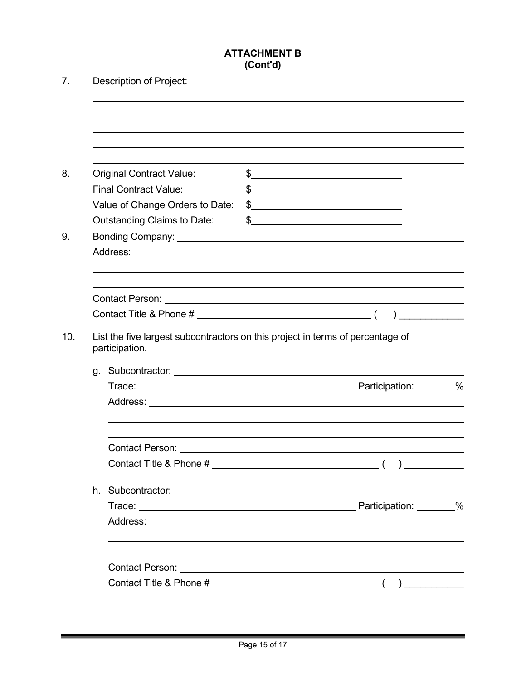# **ATTACHMENT B (Cont'd)**

| $\frac{1}{2}$<br><b>Original Contract Value:</b><br><b>Final Contract Value:</b><br>$\frac{1}{2}$<br>Value of Change Orders to Date:<br>$\frac{1}{2}$<br><b>Outstanding Claims to Date:</b><br>$\frac{1}{2}$<br>List the five largest subcontractors on this project in terms of percentage of<br>participation. |  |  |
|------------------------------------------------------------------------------------------------------------------------------------------------------------------------------------------------------------------------------------------------------------------------------------------------------------------|--|--|
|                                                                                                                                                                                                                                                                                                                  |  |  |
|                                                                                                                                                                                                                                                                                                                  |  |  |
|                                                                                                                                                                                                                                                                                                                  |  |  |
|                                                                                                                                                                                                                                                                                                                  |  |  |
|                                                                                                                                                                                                                                                                                                                  |  |  |
|                                                                                                                                                                                                                                                                                                                  |  |  |
|                                                                                                                                                                                                                                                                                                                  |  |  |
|                                                                                                                                                                                                                                                                                                                  |  |  |
|                                                                                                                                                                                                                                                                                                                  |  |  |
|                                                                                                                                                                                                                                                                                                                  |  |  |
|                                                                                                                                                                                                                                                                                                                  |  |  |
|                                                                                                                                                                                                                                                                                                                  |  |  |
|                                                                                                                                                                                                                                                                                                                  |  |  |
|                                                                                                                                                                                                                                                                                                                  |  |  |
|                                                                                                                                                                                                                                                                                                                  |  |  |
|                                                                                                                                                                                                                                                                                                                  |  |  |
|                                                                                                                                                                                                                                                                                                                  |  |  |
|                                                                                                                                                                                                                                                                                                                  |  |  |
|                                                                                                                                                                                                                                                                                                                  |  |  |
|                                                                                                                                                                                                                                                                                                                  |  |  |
|                                                                                                                                                                                                                                                                                                                  |  |  |
|                                                                                                                                                                                                                                                                                                                  |  |  |
|                                                                                                                                                                                                                                                                                                                  |  |  |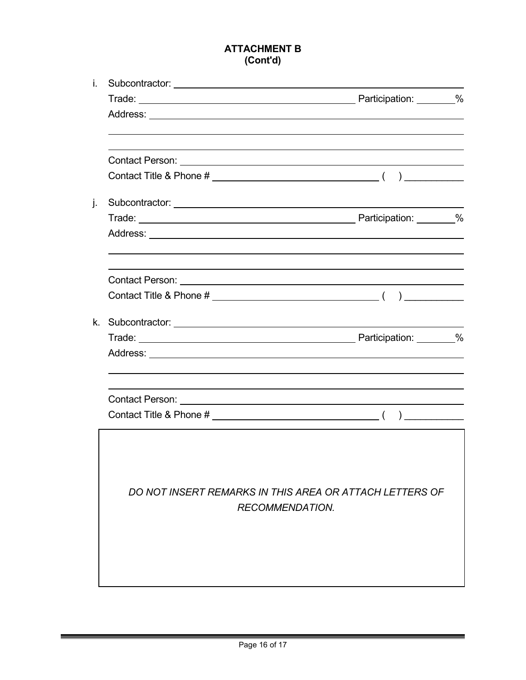# **ATTACHMENT B (Cont'd)**

| i. |                                                         |  |
|----|---------------------------------------------------------|--|
|    |                                                         |  |
|    |                                                         |  |
|    |                                                         |  |
|    |                                                         |  |
|    |                                                         |  |
| j. |                                                         |  |
|    |                                                         |  |
|    |                                                         |  |
|    |                                                         |  |
|    |                                                         |  |
|    |                                                         |  |
|    |                                                         |  |
|    |                                                         |  |
|    |                                                         |  |
|    |                                                         |  |
|    |                                                         |  |
|    | DO NOT INSERT REMARKS IN THIS AREA OR ATTACH LETTERS OF |  |
|    | <b>RECOMMENDATION.</b>                                  |  |
|    |                                                         |  |
|    |                                                         |  |
|    |                                                         |  |